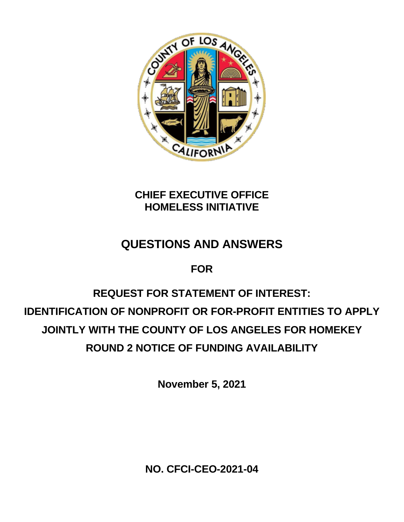

### **CHIEF EXECUTIVE OFFICE HOMELESS INITIATIVE**

# **QUESTIONS AND ANSWERS**

## **FOR**

# **REQUEST FOR STATEMENT OF INTEREST: IDENTIFICATION OF NONPROFIT OR FOR-PROFIT ENTITIES TO APPLY JOINTLY WITH THE COUNTY OF LOS ANGELES FOR HOMEKEY ROUND 2 NOTICE OF FUNDING AVAILABILITY**

**November 5, 2021**

**NO. CFCI-CEO-2021-04**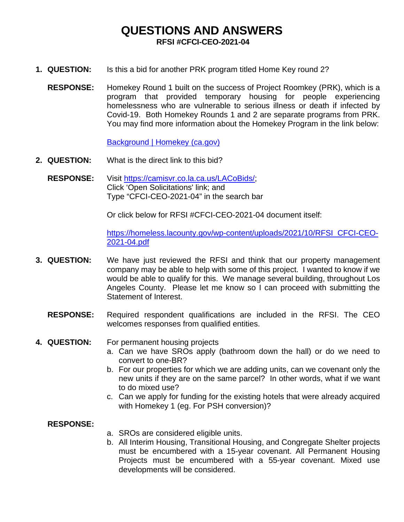### **QUESTIONS AND ANSWERS RFSI #CFCI-CEO-2021-04**

- **1. QUESTION:** Is this a bid for another PRK program titled Home Key round 2?
	- **RESPONSE:** Homekey Round 1 built on the success of Project Roomkey (PRK), which is a program that provided temporary housing for people experiencing homelessness who are vulnerable to serious illness or death if infected by Covid-19. Both Homekey Rounds 1 and 2 are separate programs from PRK. You may find more information about the Homekey Program in the link below:

[Background | Homekey \(ca.gov\)](https://homekey.hcd.ca.gov/content/background)

- **2. QUESTION:** What is the direct link to this bid?
	- **RESPONSE:** Visit [https://camisvr.co.la.ca.us/LACoBids/;](https://camisvr.co.la.ca.us/LACoBids/) Click 'Open Solicitations' link; and Type "CFCI-CEO-2021-04" in the search bar

Or click below for RFSI #CFCI-CEO-2021-04 document itself:

[https://homeless.lacounty.gov/wp-content/uploads/2021/10/RFSI\\_CFCI-CEO-](https://homeless.lacounty.gov/wp-content/uploads/2021/10/RFSI_CFCI-CEO-2021-04.pdf)[2021-04.pdf](https://homeless.lacounty.gov/wp-content/uploads/2021/10/RFSI_CFCI-CEO-2021-04.pdf)

- **3. QUESTION:** We have just reviewed the RFSI and think that our property management company may be able to help with some of this project. I wanted to know if we would be able to qualify for this. We manage several building, throughout Los Angeles County. Please let me know so I can proceed with submitting the Statement of Interest.
	- **RESPONSE:** Required respondent qualifications are included in the RFSI. The CEO welcomes responses from qualified entities.
- **4. QUESTION:** For permanent housing projects
	- a. Can we have SROs apply (bathroom down the hall) or do we need to convert to one-BR?
	- b. For our properties for which we are adding units, can we covenant only the new units if they are on the same parcel? In other words, what if we want to do mixed use?
	- c. Can we apply for funding for the existing hotels that were already acquired with Homekey 1 (eg. For PSH conversion)?

#### **RESPONSE:**

- a. SROs are considered eligible units.
- b. All Interim Housing, Transitional Housing, and Congregate Shelter projects must be encumbered with a 15-year covenant. All Permanent Housing Projects must be encumbered with a 55-year covenant. Mixed use developments will be considered.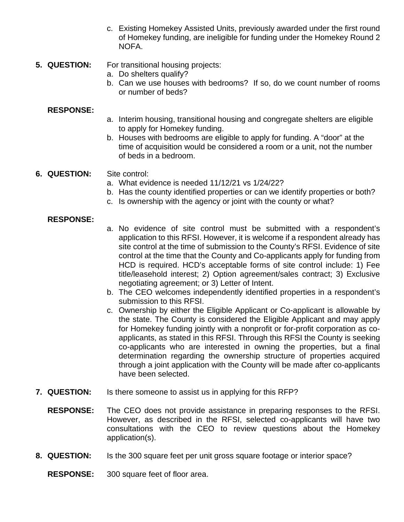- c. Existing Homekey Assisted Units, previously awarded under the first round of Homekey funding, are ineligible for funding under the Homekey Round 2 NOFA.
- **5. QUESTION:** For transitional housing projects:
	- a. Do shelters qualify?
	- b. Can we use houses with bedrooms? If so, do we count number of rooms or number of beds?

### **RESPONSE:**

- a. Interim housing, transitional housing and congregate shelters are eligible to apply for Homekey funding.
- b. Houses with bedrooms are eligible to apply for funding. A "door" at the time of acquisition would be considered a room or a unit, not the number of beds in a bedroom.

### **6. QUESTION:** Site control:

- a. What evidence is needed 11/12/21 vs 1/24/22?
- b. Has the county identified properties or can we identify properties or both?
	- c. Is ownership with the agency or joint with the county or what?

#### **RESPONSE:**

- a. No evidence of site control must be submitted with a respondent's application to this RFSI. However, it is welcome if a respondent already has site control at the time of submission to the County's RFSI. Evidence of site control at the time that the County and Co-applicants apply for funding from HCD is required. HCD's acceptable forms of site control include: 1) Fee title/leasehold interest; 2) Option agreement/sales contract; 3) Exclusive negotiating agreement; or 3) Letter of Intent.
- b. The CEO welcomes independently identified properties in a respondent's submission to this RFSI.
- c. Ownership by either the Eligible Applicant or Co-applicant is allowable by the state. The County is considered the Eligible Applicant and may apply for Homekey funding jointly with a nonprofit or for-profit corporation as coapplicants, as stated in this RFSI. Through this RFSI the County is seeking co-applicants who are interested in owning the properties, but a final determination regarding the ownership structure of properties acquired through a joint application with the County will be made after co-applicants have been selected.
- **7. QUESTION:** Is there someone to assist us in applying for this RFP?
	- **RESPONSE:** The CEO does not provide assistance in preparing responses to the RFSI. However, as described in the RFSI, selected co-applicants will have two consultations with the CEO to review questions about the Homekey application(s).
- **8. QUESTION:** Is the 300 square feet per unit gross square footage or interior space?

**RESPONSE:** 300 square feet of floor area.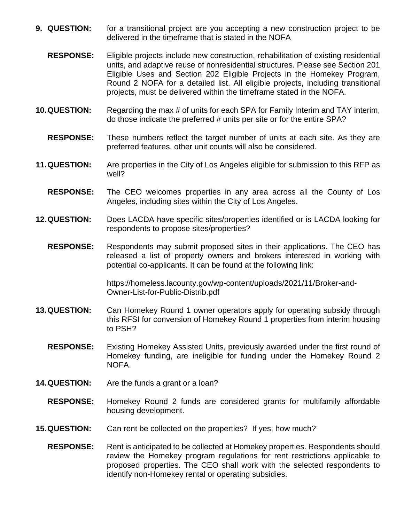- **9. QUESTION:** for a transitional project are you accepting a new construction project to be delivered in the timeframe that is stated in the NOFA
	- **RESPONSE:** Eligible projects include new construction, rehabilitation of existing residential units, and adaptive reuse of nonresidential structures. Please see Section 201 Eligible Uses and Section 202 Eligible Projects in the Homekey Program, Round 2 NOFA for a detailed list. All eligible projects, including transitional projects, must be delivered within the timeframe stated in the NOFA.
- **10.QUESTION:** Regarding the max # of units for each SPA for Family Interim and TAY interim, do those indicate the preferred # units per site or for the entire SPA?
	- **RESPONSE:** These numbers reflect the target number of units at each site. As they are preferred features, other unit counts will also be considered.
- **11.QUESTION:** Are properties in the City of Los Angeles eligible for submission to this RFP as well?
	- **RESPONSE:** The CEO welcomes properties in any area across all the County of Los Angeles, including sites within the City of Los Angeles.
- **12.QUESTION:** Does LACDA have specific sites/properties identified or is LACDA looking for respondents to propose sites/properties?
	- **RESPONSE:** Respondents may submit proposed sites in their applications. The CEO has released a list of property owners and brokers interested in working with potential co-applicants. It can be found at the following link:

https://homeless.lacounty.gov/wp-content/uploads/2021/11/Broker-and-Owner-List-for-Public-Distrib.pdf

- **13.QUESTION:** Can Homekey Round 1 owner operators apply for operating subsidy through this RFSI for conversion of Homekey Round 1 properties from interim housing to PSH?
	- **RESPONSE:** Existing Homekey Assisted Units, previously awarded under the first round of Homekey funding, are ineligible for funding under the Homekey Round 2 NOFA.
- **14.QUESTION:** Are the funds a grant or a loan?
	- **RESPONSE:** Homekey Round 2 funds are considered grants for multifamily affordable housing development.
- **15.QUESTION:** Can rent be collected on the properties? If yes, how much?
	- **RESPONSE:** Rent is anticipated to be collected at Homekey properties. Respondents should review the Homekey program regulations for rent restrictions applicable to proposed properties. The CEO shall work with the selected respondents to identify non-Homekey rental or operating subsidies.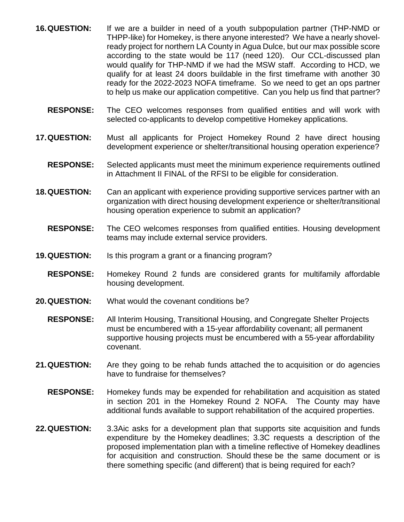- **16.QUESTION:** If we are a builder in need of a youth subpopulation partner (THP-NMD or THPP-like) for Homekey, is there anyone interested? We have a nearly shovelready project for northern LA County in Agua Dulce, but our max possible score according to the state would be 117 (need 120). Our CCL-discussed plan would qualify for THP-NMD if we had the MSW staff. According to HCD, we qualify for at least 24 doors buildable in the first timeframe with another 30 ready for the 2022-2023 NOFA timeframe. So we need to get an ops partner to help us make our application competitive. Can you help us find that partner?
	- **RESPONSE:** The CEO welcomes responses from qualified entities and will work with selected co-applicants to develop competitive Homekey applications.
- **17.QUESTION:** Must all applicants for Project Homekey Round 2 have direct housing development experience or shelter/transitional housing operation experience?
	- **RESPONSE:** Selected applicants must meet the minimum experience requirements outlined in Attachment II FINAL of the RFSI to be eligible for consideration.
- **18.QUESTION:** Can an applicant with experience providing supportive services partner with an organization with direct housing development experience or shelter/transitional housing operation experience to submit an application?
	- **RESPONSE:** The CEO welcomes responses from qualified entities. Housing development teams may include external service providers.
- **19.QUESTION:** Is this program a grant or a financing program?
	- **RESPONSE:** Homekey Round 2 funds are considered grants for multifamily affordable housing development.
- **20.QUESTION:** What would the covenant conditions be?
	- **RESPONSE:** All Interim Housing, Transitional Housing, and Congregate Shelter Projects must be encumbered with a 15-year affordability covenant; all permanent supportive housing projects must be encumbered with a 55-year affordability covenant.
- **21.QUESTION:** Are they going to be rehab funds attached the to acquisition or do agencies have to fundraise for themselves?
	- **RESPONSE:** Homekey funds may be expended for rehabilitation and acquisition as stated in section 201 in the Homekey Round 2 NOFA. The County may have additional funds available to support rehabilitation of the acquired properties.
- **22.QUESTION:** 3.3Aic asks for a development plan that supports site acquisition and funds expenditure by the Homekey deadlines; 3.3C requests a description of the proposed implementation plan with a timeline reflective of Homekey deadlines for acquisition and construction. Should these be the same document or is there something specific (and different) that is being required for each?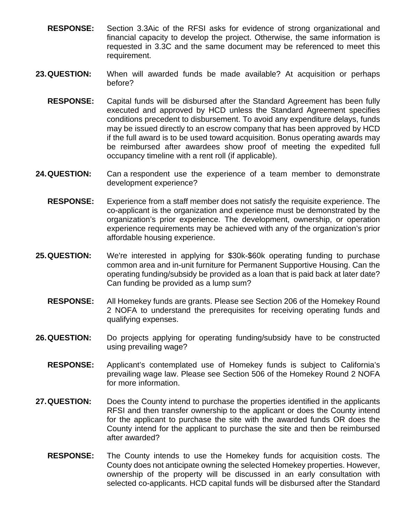- **RESPONSE:** Section 3.3Aic of the RFSI asks for evidence of strong organizational and financial capacity to develop the project. Otherwise, the same information is requested in 3.3C and the same document may be referenced to meet this requirement.
- **23.QUESTION:** When will awarded funds be made available? At acquisition or perhaps before?
	- **RESPONSE:** Capital funds will be disbursed after the Standard Agreement has been fully executed and approved by HCD unless the Standard Agreement specifies conditions precedent to disbursement. To avoid any expenditure delays, funds may be issued directly to an escrow company that has been approved by HCD if the full award is to be used toward acquisition. Bonus operating awards may be reimbursed after awardees show proof of meeting the expedited full occupancy timeline with a rent roll (if applicable).
- **24.QUESTION:** Can a respondent use the experience of a team member to demonstrate development experience?
	- **RESPONSE:** Experience from a staff member does not satisfy the requisite experience. The co-applicant is the organization and experience must be demonstrated by the organization's prior experience. The development, ownership, or operation experience requirements may be achieved with any of the organization's prior affordable housing experience.
- **25.QUESTION:** We're interested in applying for \$30k-\$60k operating funding to purchase common area and in-unit furniture for Permanent Supportive Housing. Can the operating funding/subsidy be provided as a loan that is paid back at later date? Can funding be provided as a lump sum?
	- **RESPONSE:** All Homekey funds are grants. Please see Section 206 of the Homekey Round 2 NOFA to understand the prerequisites for receiving operating funds and qualifying expenses.
- **26.QUESTION:** Do projects applying for operating funding/subsidy have to be constructed using prevailing wage?
	- **RESPONSE:** Applicant's contemplated use of Homekey funds is subject to California's prevailing wage law. Please see Section 506 of the Homekey Round 2 NOFA for more information.
- **27.QUESTION:** Does the County intend to purchase the properties identified in the applicants RFSI and then transfer ownership to the applicant or does the County intend for the applicant to purchase the site with the awarded funds OR does the County intend for the applicant to purchase the site and then be reimbursed after awarded?
	- **RESPONSE:** The County intends to use the Homekey funds for acquisition costs. The County does not anticipate owning the selected Homekey properties. However, ownership of the property will be discussed in an early consultation with selected co-applicants. HCD capital funds will be disbursed after the Standard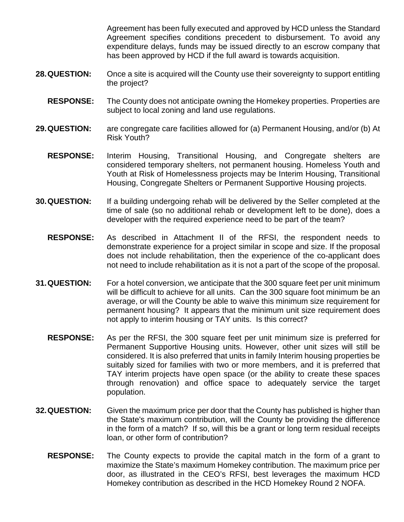Agreement has been fully executed and approved by HCD unless the Standard Agreement specifies conditions precedent to disbursement. To avoid any expenditure delays, funds may be issued directly to an escrow company that has been approved by HCD if the full award is towards acquisition.

- **28.QUESTION:** Once a site is acquired will the County use their sovereignty to support entitling the project?
	- **RESPONSE:** The County does not anticipate owning the Homekey properties. Properties are subject to local zoning and land use regulations.
- **29.QUESTION:** are congregate care facilities allowed for (a) Permanent Housing, and/or (b) At Risk Youth?
	- **RESPONSE:** Interim Housing, Transitional Housing, and Congregate shelters are considered temporary shelters, not permanent housing. Homeless Youth and Youth at Risk of Homelessness projects may be Interim Housing, Transitional Housing, Congregate Shelters or Permanent Supportive Housing projects.
- **30.QUESTION:** If a building undergoing rehab will be delivered by the Seller completed at the time of sale (so no additional rehab or development left to be done), does a developer with the required experience need to be part of the team?
	- **RESPONSE:** As described in Attachment II of the RFSI, the respondent needs to demonstrate experience for a project similar in scope and size. If the proposal does not include rehabilitation, then the experience of the co-applicant does not need to include rehabilitation as it is not a part of the scope of the proposal.
- **31.QUESTION:** For a hotel conversion, we anticipate that the 300 square feet per unit minimum will be difficult to achieve for all units. Can the 300 square foot minimum be an average, or will the County be able to waive this minimum size requirement for permanent housing? It appears that the minimum unit size requirement does not apply to interim housing or TAY units. Is this correct?
	- **RESPONSE:** As per the RFSI, the 300 square feet per unit minimum size is preferred for Permanent Supportive Housing units. However, other unit sizes will still be considered. It is also preferred that units in family Interim housing properties be suitably sized for families with two or more members, and it is preferred that TAY interim projects have open space (or the ability to create these spaces through renovation) and office space to adequately service the target population.
- **32.QUESTION:** Given the maximum price per door that the County has published is higher than the State's maximum contribution, will the County be providing the difference in the form of a match? If so, will this be a grant or long term residual receipts loan, or other form of contribution?
	- **RESPONSE:** The County expects to provide the capital match in the form of a grant to maximize the State's maximum Homekey contribution. The maximum price per door, as illustrated in the CEO's RFSI, best leverages the maximum HCD Homekey contribution as described in the HCD Homekey Round 2 NOFA.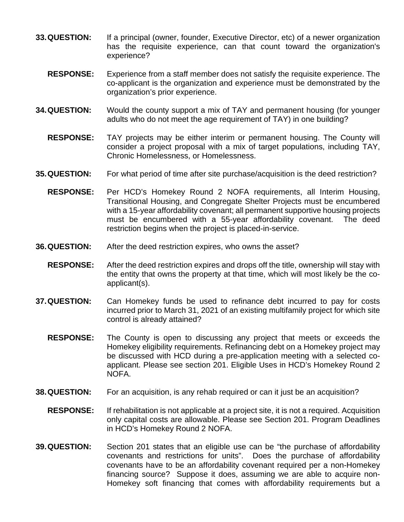- **33.QUESTION:** If a principal (owner, founder, Executive Director, etc) of a newer organization has the requisite experience, can that count toward the organization's experience?
	- **RESPONSE:** Experience from a staff member does not satisfy the requisite experience. The co-applicant is the organization and experience must be demonstrated by the organization's prior experience.
- **34.QUESTION:** Would the county support a mix of TAY and permanent housing (for younger adults who do not meet the age requirement of TAY) in one building?
	- **RESPONSE:** TAY projects may be either interim or permanent housing. The County will consider a project proposal with a mix of target populations, including TAY, Chronic Homelessness, or Homelessness.
- **35.QUESTION:** For what period of time after site purchase/acquisition is the deed restriction?
	- **RESPONSE:** Per HCD's Homekey Round 2 NOFA requirements, all Interim Housing, Transitional Housing, and Congregate Shelter Projects must be encumbered with a 15-year affordability covenant; all permanent supportive housing projects must be encumbered with a 55-year affordability covenant. The deed restriction begins when the project is placed-in-service.
- **36.QUESTION:** After the deed restriction expires, who owns the asset?
	- **RESPONSE:** After the deed restriction expires and drops off the title, ownership will stay with the entity that owns the property at that time, which will most likely be the coapplicant(s).
- **37.QUESTION:** Can Homekey funds be used to refinance debt incurred to pay for costs incurred prior to March 31, 2021 of an existing multifamily project for which site control is already attained?
	- **RESPONSE:** The County is open to discussing any project that meets or exceeds the Homekey eligibility requirements. Refinancing debt on a Homekey project may be discussed with HCD during a pre-application meeting with a selected coapplicant. Please see section 201. Eligible Uses in HCD's Homekey Round 2 NOFA.
- **38.QUESTION:** For an acquisition, is any rehab required or can it just be an acquisition?
	- **RESPONSE:** If rehabilitation is not applicable at a project site, it is not a required. Acquisition only capital costs are allowable. Please see Section 201. Program Deadlines in HCD's Homekey Round 2 NOFA.
- **39.QUESTION:** Section 201 states that an eligible use can be "the purchase of affordability covenants and restrictions for units". Does the purchase of affordability covenants have to be an affordability covenant required per a non-Homekey financing source? Suppose it does, assuming we are able to acquire non-Homekey soft financing that comes with affordability requirements but a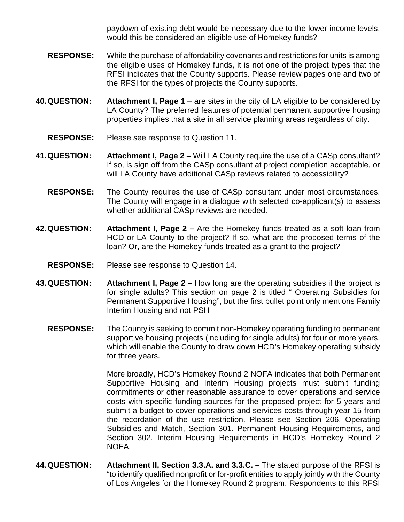paydown of existing debt would be necessary due to the lower income levels, would this be considered an eligible use of Homekey funds?

- **RESPONSE:** While the purchase of affordability covenants and restrictions for units is among the eligible uses of Homekey funds, it is not one of the project types that the RFSI indicates that the County supports. Please review pages one and two of the RFSI for the types of projects the County supports.
- **40.QUESTION: Attachment I, Page 1**  are sites in the city of LA eligible to be considered by LA County? The preferred features of potential permanent supportive housing properties implies that a site in all service planning areas regardless of city.
	- **RESPONSE:** Please see response to Question 11.
- **41.QUESTION: Attachment I, Page 2 –** Will LA County require the use of a CASp consultant? If so, is sign off from the CASp consultant at project completion acceptable, or will LA County have additional CASp reviews related to accessibility?
	- **RESPONSE:** The County requires the use of CASp consultant under most circumstances. The County will engage in a dialogue with selected co-applicant(s) to assess whether additional CASp reviews are needed.
- **42.QUESTION: Attachment I, Page 2 –** Are the Homekey funds treated as a soft loan from HCD or LA County to the project? If so, what are the proposed terms of the loan? Or, are the Homekey funds treated as a grant to the project?
	- **RESPONSE:** Please see response to Question 14.
- **43.QUESTION: Attachment I, Page 2 –** How long are the operating subsidies if the project is for single adults? This section on page 2 is titled " Operating Subsidies for Permanent Supportive Housing", but the first bullet point only mentions Family Interim Housing and not PSH
	- **RESPONSE:** The County is seeking to commit non-Homekey operating funding to permanent supportive housing projects (including for single adults) for four or more years, which will enable the County to draw down HCD's Homekey operating subsidy for three years.

More broadly, HCD's Homekey Round 2 NOFA indicates that both Permanent Supportive Housing and Interim Housing projects must submit funding commitments or other reasonable assurance to cover operations and service costs with specific funding sources for the proposed project for 5 years and submit a budget to cover operations and services costs through year 15 from the recordation of the use restriction. Please see Section 206. Operating Subsidies and Match, Section 301. Permanent Housing Requirements, and Section 302. Interim Housing Requirements in HCD's Homekey Round 2 NOFA.

**44.QUESTION: Attachment II, Section 3.3.A. and 3.3.C. –** The stated purpose of the RFSI is "to identify qualified nonprofit or for-profit entities to apply jointly with the County of Los Angeles for the Homekey Round 2 program. Respondents to this RFSI